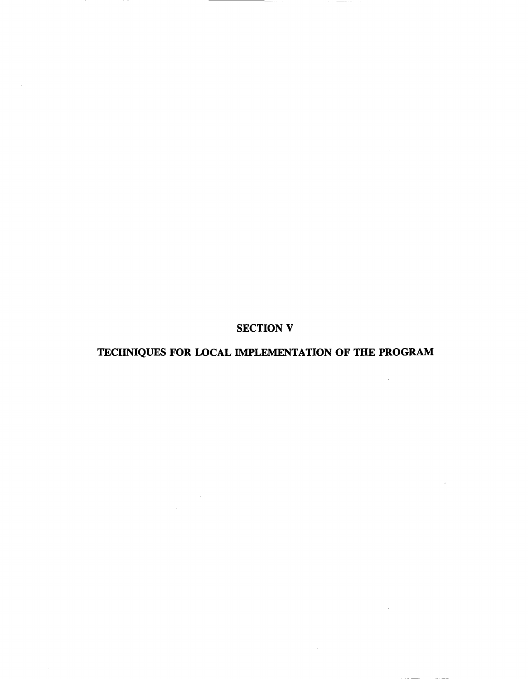SECTION V

# TECHNIQUES FOR LOCAL IMPLEMENTATION OF THE PROGRAM

 $\sim 10^6$ 

 $\sim$ 

 $\sim 10$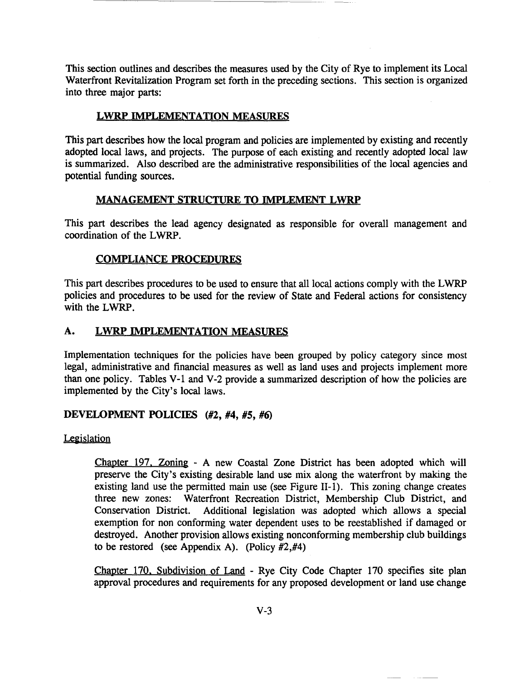This section outlines and describes the measures used by the City of Rye to implement its Local Waterfront Revitalization Program set forth in the preceding sections. This section is organized into three major parts:

# LWRP IMPLEMENTATION MEASURES

This part describes how the local program and policies are implemented by existing and recently adopted local laws, and projects. The purpose of each existing and recently adopted local law is summarized. Also described are the administrative responsibilities of the local agencies and potential funding sources.

# MANAGEMENT STRUCTURE TO IMPLEMENT LWRP

This part describes the lead agency designated as responsible for overall management and coordination of the LWRP.

# COMPLIANCE PROCEDURES

This part describes procedures to be used to ensure that all local actions comply with the LWRP policies and procedures to be used for the review of State and Federal actions for consistency with the LWRP.

# A. LWRP IMPLEMENTATION MEASURES

Implementation techniques for the policies have been grouped by policy category since most legal, administrative and financial measures as well as land uses and projects implement more than one policy. Tables V-I and V-2 provide a summarized description of how the policies are implemented by the City's local laws.

# DEVELOPMENT POLICIES (#2, #4, #5, #6)

# Legislation

Chapter 197. Zoning - A new Coastal Zone District has been adopted which will preserve the City's existing desirable land use mix along the waterfront by making the existing land use the permitted main use (see Figure II-I). This zoning change creates three new zones: Waterfront Recreation District, Membership Club District, and Conservation District. Additional legislation was adopted which allows a special exemption for non conforming water dependent uses to be reestablished if damaged or destroyed. Another provision allows existing nonconforming membership club buildings to be restored (see Appendix A). (Policy #2,#4)

Chapter 170. Subdivision of Land - Rye City Code Chapter 170 specifies site plan approval procedures and requirements for any proposed development or land use change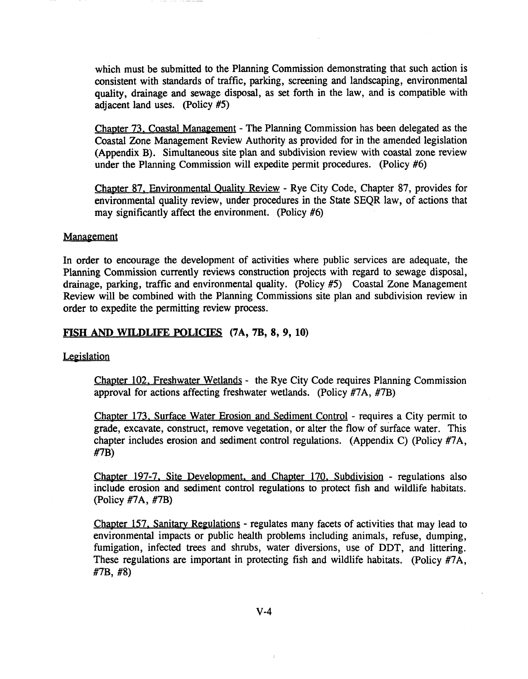which must be submitted to the Planning Commission demonstrating that such action is consistent with standards of traffic, parking, screening and landscaping, environmental quality, drainage and sewage disposal, as set forth in the law, and is compatible with adjacent land uses. (Policy #5)

Chapter 73. Coastal Management - The Planning Commission has been delegated as the Coastal Zone Management Review Authority as provided for in the amended legislation (Appendix B). Simultaneous site plan and subdivision review with coastal zone review under the Planning Commission will expedite permit procedures. (Policy #6)

Chapter 87. Environmental Quality Review - Rye City Code, Chapter 87, provides for environmental quality review, under procedures in the State SEQR law, of actions that may significantly affect the environment. (Policy #6)

#### **Management**

In order to encourage the development of activities where public services are adequate, the Planning Commission currently reviews construction projects with regard to sewage disposal, drainage, parking, traffic and environmental quality. (Policy #5) Coastal Zone Management Review will be combined with the Planning Commissions site plan and subdivision review in order to expedite the permitting review process.

#### FISH AND WILDLIFE POLICIES (7A, 7B, 8, 9, 10)

#### Legislation

Chapter 102. Freshwater Wetlands - the Rye City Code requires Planning Commission approval for actions affecting freshwater wetlands. (Policy #7A, #7B)

Chapter 173. Surface Water Erosion and Sediment Control - requires a City permit to grade, excavate, construct, remove vegetation, or alter the flow of surface water. This chapter includes erosion and sediment control regulations. (Appendix C) (Policy #7A, #7B)

Chapter 197-7. Site Development. and Chapter 170. Subdivision - regulations also include erosion and sediment control regulations to protect fish and wildlife habitats. (Policy #7A, #7B)

Chapter 157, Sanitary Regulations - regulates many facets of activities that may lead to environmental impacts or public health problems including animals, refuse, dumping, fumigation, infected trees and shrubs, water diversions, use of DDT, and littering. These regulations are important in protecting fish and wildlife habitats. (Policy #7A, #7B, #8)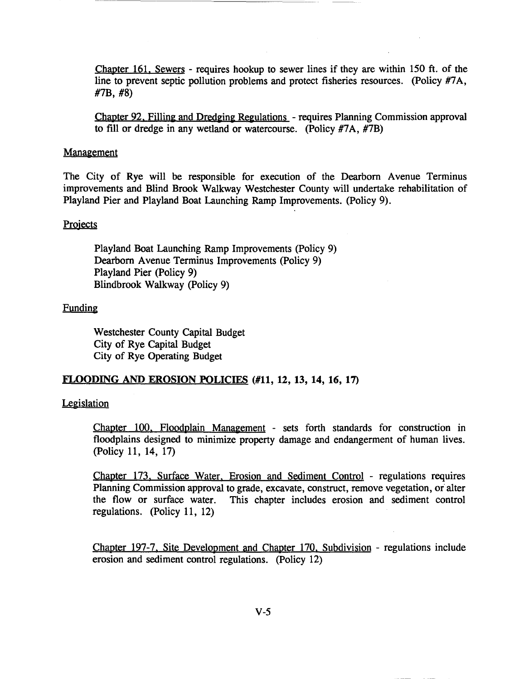Chapter 161. Sewers - requires hookup to sewer lines if they are within 150 ft. of the line to prevent septic pollution problems and protect fisheries resources. (policy #7A, #7B, #8)

Chapter 92. Filling and Dredging Regulations - requires Planning Commission approval to fill or dredge in any wetland or watercourse. (Policy #7A, #7B)

#### **Management**

The City of Rye will be responsible for execution of the Dearborn Avenue Terminus improvements and Blind Brook Walkway Westchester County will undertake rehabilitation of Playland Pier and Playland Boat Launching Ramp Improvements. (Policy 9).

#### **Projects**

Playland Boat Launching Ramp Improvements (Policy 9) Dearborn Avenue Terminus Improvements (Policy 9) Playland Pier (Policy 9) Blindbrook Walkway (Policy 9)

#### Funding

Westchester County Capital Budget City of Rye Capital Budget City of Rye Operating Budget

### FLOODING AND EROSION POLICIES (#11, 12, 13, 14, 16, 17)

#### **Legislation**

Chapter 100. Floodplain Management - sets forth standards for construction in floodplains designed to minimize property damage and endangerment of human lives. (Policy 11, 14, 17)

Chapter 173. Surface Water. Erosion and Sediment Control - regulations requires Planning Commission approval to grade, excavate, construct, remove vegetation, or alter the flow or surface water. This chapter includes erosion and sediment control regulations. (Policy 11, 12)

Chapter 197-7. Site Development and Chapter 170. Subdivision - regulations include erosion and sediment control regulations. (Policy 12)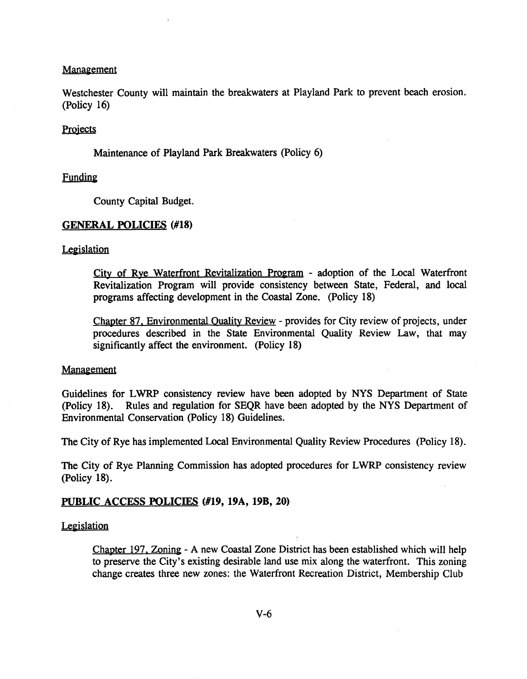#### Management

Westchester County will maintain the breakwaters at Playland Park to prevent beach erosion. (Policy 16)

#### **Projects**

Maintenance of Playland Park Breakwaters (Policy 6)

#### Funding

County Capital Budget.

#### GENERAL POLICIES (#18)

#### **Legislation**

City of Rye Waterfront Revitalization Program - adoption of the Local Waterfront Revitalization Program will provide consistency between State, Federal, and local programs affecting development in the Coastal Zone. (Policy 18)

Chapter 87. Environmental Quality Review - provides for City review of projects, under procedures described in the State Environmental Quality Review Law, that may significantly affect the environment. (Policy 18)

#### **Management**

Guidelines for LWRP consistency review have been adopted by NYS Department of State (policy 18). Rules and regulation for SEQR have been adopted by the NYS Department of Environmental Conservation (Policy 18) Guidelines.

The City of Rye has implemented Local Environmental Quality Review Procedures (Policy 18).

The City of Rye Planning Commission has adopted procedures for LWRP consistency review (Policy 18).

#### PUBLIC ACCESS POLICIES (#19, 19A, 19B, 20)

#### **Legislation**

Chapter 197. Zoning - A new Coastal Zone District has been established which will help to preserve the City's existing desirable land use mix along the waterfront. This zoning change creates three new zones: the Waterfront Recreation District, Membership Club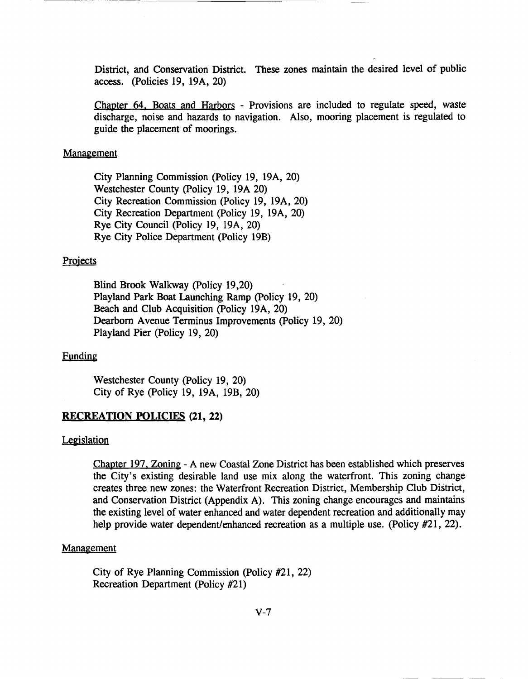District, and Conservation District. These zones maintain the desired level of public access. (policies 19, 19A, 20)

Chapter 64. Boats and Harbors - Provisions are included to regulate speed, waste discharge, noise and hazards to navigation. Also, mooring placement is regulated to guide the placement of moorings.

#### Management

City Planning Commission (Policy 19, 19A, 20) Westchester County (Policy 19, 19A 20) City Recreation Commission (Policy 19, 19A, 20) City Recreation Department (Policy 19, 19A, 20) Rye City Council (Policy 19, 19A, 20) Rye City Police Department (Policy 19B)

#### Projects

Blind Brook Walkway (policy 19,20) Playland Park Boat Launching Ramp (Policy 19, 20) Beach and Club Acquisition (policy 19A, 20) Dearborn Avenue Terminus Improvements (policy 19, 20) Playland Pier (policy 19, 20)

#### Funding

Westchester County (Policy 19, 20) City of Rye (Policy 19, 19A, 19B, 20)

#### RECREATION POLICIES (21, 22)

#### **Legislation**

Chapter 197. Zoning - A new Coastal Zone District has been established which preserves the City's existing desirable land use mix along the waterfront. This zoning change creates three new zones: the Waterfront Recreation District, Membership Club District, and Conservation District (Appendix A). This zoning change encourages and maintains the existing level of water enhanced and water dependent recreation and additionally may help provide water dependent/enhanced recreation as a multiple use. (Policy #21, 22).

#### **Management**

City of Rye Planning Commission (Policy #21, 22) Recreation Department (Policy #21)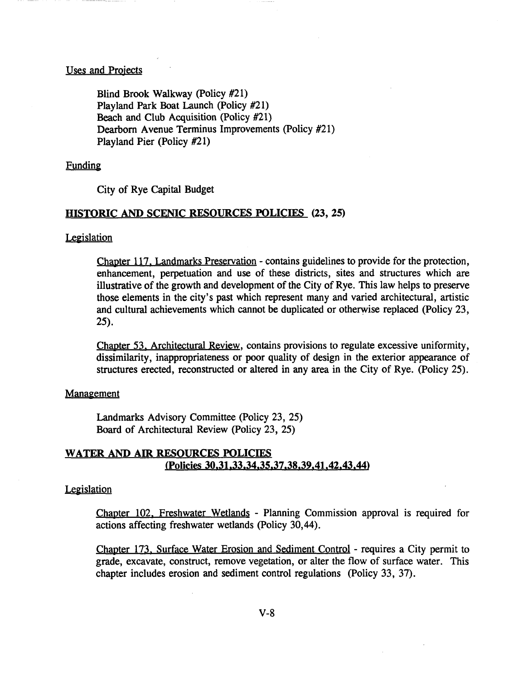#### Uses and Projects

Blind Brook Walkway (policy #21) Playland Park Boat Launch (Policy #21) Beach and Club Acquisition (Policy #21) Dearborn Avenue Terminus Improvements (policy #21) Playland Pier (Policy #21)

#### Funding

City of Rye Capital Budget

#### HISTORIC AND SCENIC RESOURCES POLICIES (23, 25)

#### **Legislation**

Chapter 117. Landmarks Preservation - contains guidelines to provide for the protection, enhancement, perpetuation and use of these districts, sites and structures which are illustrative of the growth and development of the City of Rye. This law helps to preserve those elements in the city's past which represent many and varied architectural, artistic and cultural achievements which cannot be duplicated or otherwise replaced (policy 23, 25).

Chapter 53. Architectural Review, contains provisions to regulate excessive uniformity, dissimilarity, inappropriateness or poor quality of design in the exterior appearance of structures erected, reconstructed or altered in any area in the City of Rye. (Policy 25).

#### **Management**

Landmarks Advisory Committee (Policy 23, 25) Board of Architectural Review (Policy 23, 25)

# WATER AND AIR RESOURCES POLICIES (Policies 30,31.33,34,35,37,38,39,41.42,43,44)

#### **Legislation**

Chapter 102. Freshwater Wetlands - Planning Commission approval is required for actions affecting freshwater wetlands (policy 30,44).

Chapter 173. Surface Water Erosion and Sediment Control - requires a City permit to grade, excavate, construct, remove vegetation, or alter the flow of surface water. This chapter includes erosion and sediment control regulations (Policy 33, 37).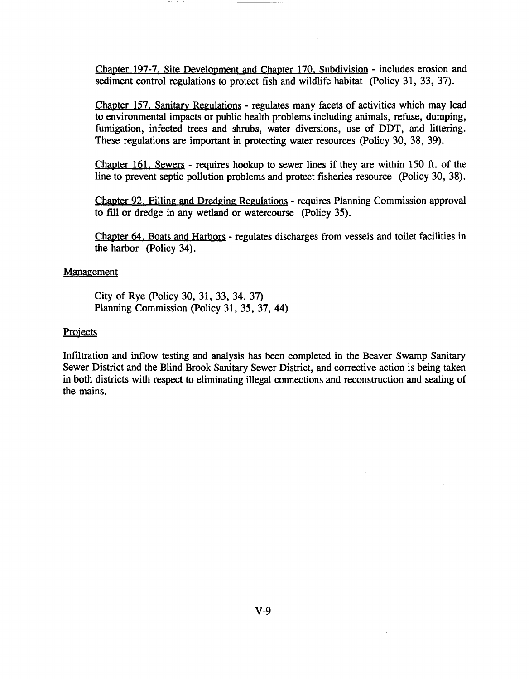Chapter 197-7. Site Development and Chapter 170. Subdivision - includes erosion and sediment control regulations to protect fish and wildlife habitat (Policy 31, 33, 37).

Chapter 157. Sanitary Regulations - regulates many facets of activities which may lead to environmental impacts or public health problems including animals, refuse, dumping, fumigation, infected trees and shrubs, water diversions, use of DDT, and littering. These regulations are important in protecting water resources (Policy 30, 38, 39).

Chapter 161. Sewers - requires hookup to sewer lines if they are within 150 ft. of the line to prevent septic pollution problems and protect fisheries resource (Policy 30, 38).

Chapter 92. Filling and Dredging Regulations - requires Planning Commission approval to fill or dredge in any wetland or watercourse (policy 35).

Chapter 64. Boats and Harbors - regulates discharges from vessels and toilet facilities in the harbor (Policy 34).

#### Management

City of Rye (Policy 30, 31, 33, 34, 37) Planning Commission (Policy 31, 35, 37, 44)

#### **Projects**

Infiltration and inflow testing and analysis has been completed in the Beaver Swamp Sanitary Sewer District and the Blind Brook Sanitary Sewer District, and corrective action is being taken in both districts with respect to eliminating illegal connections and reconstruction and sealing of the mains.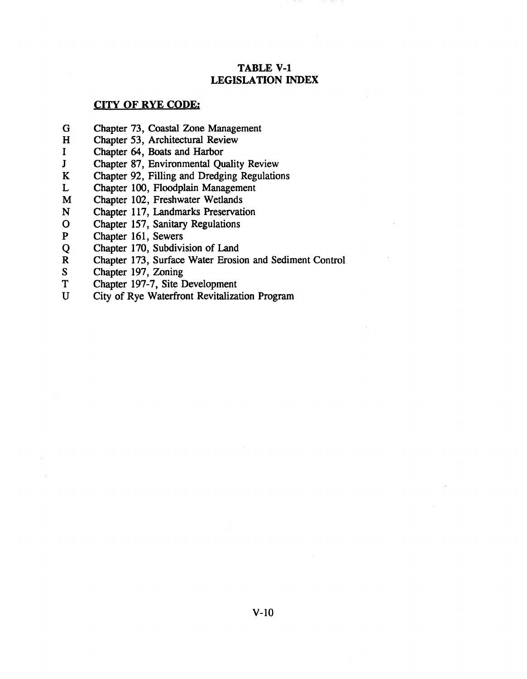# TABLE V-I LEGISLATION INDEX

### CITY OF RYE CODE;

- G Chapter 73, Coastal Zone Management
- H Chapter 53, Architectural Review
- I Chapter 64, Boats and Harbor<br>J Chapter 87, Environmental Ou
- Chapter 87, Environmental Quality Review
- K Chapter 92, Filling and Dredging Regulations
- L Chapter 100, Floodplain Management
- M Chapter 102, Freshwater Wetlands
- N Chapter 117, Landmarks Preservation
- o Chapter 157, Sanitary Regulations
- P Chapter 161, Sewers
- Q Chapter 170, Subdivision of Land
- R Chapter 173, Surface Water Erosion and Sediment Control<br>S Chapter 197, Zoning
- Chapter 197, Zoning
- T Chapter 197-7, Site Development
- U City of Rye Waterfront Revitalization Program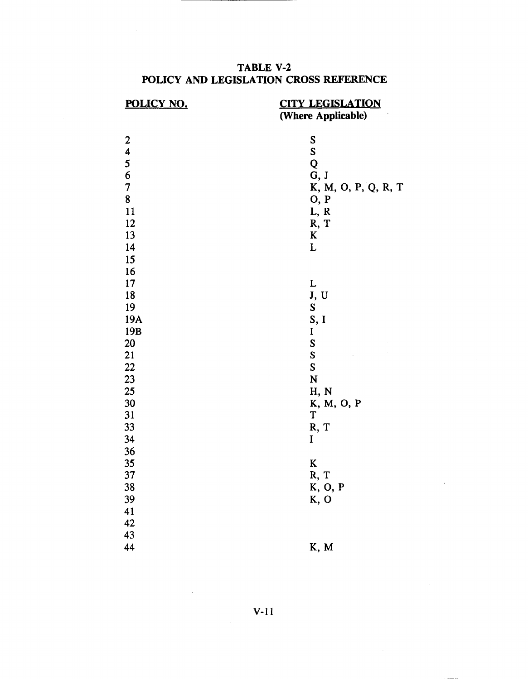# TABLE V-2 POLICY AND LEGISLATION CROSS REFERENCE

| POLICY NO.       | <b>CITY LEGISLATION</b><br>(Where Applicable) |
|------------------|-----------------------------------------------|
|                  |                                               |
| $\boldsymbol{2}$ | S                                             |
| 4                | S                                             |
| 5                | Q                                             |
| $\frac{6}{7}$    | G, J                                          |
|                  | K, M, O, P, Q, R, T                           |
| 8                | 0, P                                          |
| 11               | L, R                                          |
| 12               | R, T                                          |
| 13               | K                                             |
| 14               | L                                             |
| 15               |                                               |
| 16               |                                               |
| 17               | L                                             |
| 18               | J, U                                          |
| 19               | S                                             |
| 19A              | S, I                                          |
| 19 <sub>B</sub>  | I                                             |
| 20               | ${\bf S}$                                     |
| 21               | S                                             |
| 22               | S                                             |
| 23               | N                                             |
| 25               | H, N                                          |
| 30               | K, M, O, P                                    |
| 31               | T                                             |
| 33               | R, T                                          |
| 34               | I                                             |
| 36               |                                               |
| 35               | $\bf K$                                       |
| 37               | R, T                                          |
| 38               | K, O, P                                       |
| 39               | K, O                                          |
| 41               |                                               |
| 42               |                                               |
| 43               |                                               |
| 44               | K, M                                          |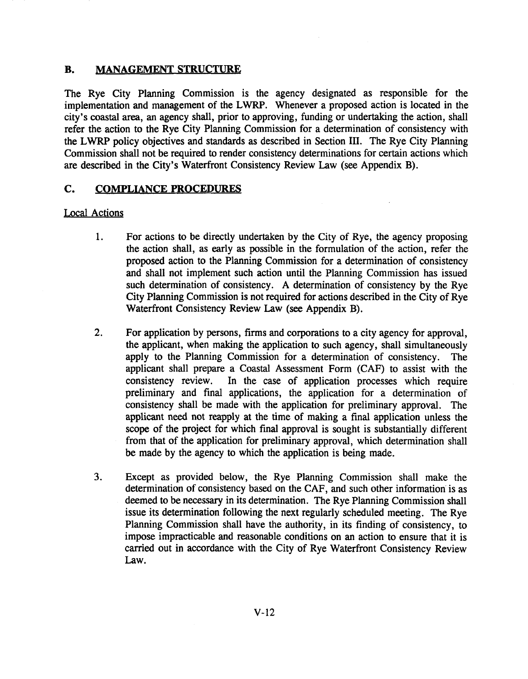# B. MANAGEMENT STRUCTURE

The Rye City Planning Commission is the agency designated as responsible for the implementation and management of the LWRP. Whenever a proposed action is located in the city's coastal area, an agency shall, prior to approving, funding or undertaking the action, shall refer the action to the Rye City Planning Commission for a determination of consistency with the LWRP policy objectives and standards as described in Section III. The Rye City Planning Commission shall not be required to render consistency determinations for certain actions which are described in the City's Waterfront Consistency Review Law (see Appendix B).

# C. COMPLIANCE PROCEDURES

# Local Actions

- 1. For actions to be directly undertaken by the City of Rye, the agency proposing the action shall, as early as possible in the formulation of the action, refer the proposed action to the Planning Commission for a determination of consistency and shall not implement such action until the Planning Commission has issued such determination of consistency. A determination of consistency by the Rye City Planning Commission is not required for actions described in the City of Rye Waterfront Consistency Review Law (see Appendix B).
- 2. For application by persons, firms and corporations to a city agency for approval, the applicant, when making the application to such agency, shall simultaneously apply to the Planning Commission for a determination of consistency. The applicant shall prepare a Coastal Assessment Form (CAF) to assist with the consistency review. In the case of application processes which require preliminary and final applications, the application for a determination of consistency shall be made with the application for preliminary approval. The applicant need not reapply at the time of making a final application unless the scope of the project for which final approval is sought is substantially different from that of the application for preliminary approval, which determination shall be made by the agency to which the application is being made.
- 3. Except as provided below, the Rye Planning Commission shall make the determination of consistency based on the CAF, and such other information is as deemed to be necessary in its determination. The Rye Planning Commission shall issue its determination following the next regularly scheduled meeting. The Rye Planning Commission shall have the authority, in its finding of consistency, to impose impracticable and reasonable conditions on an action to ensure that it is carried out in accordance with the City of Rye Waterfront Consistency Review Law.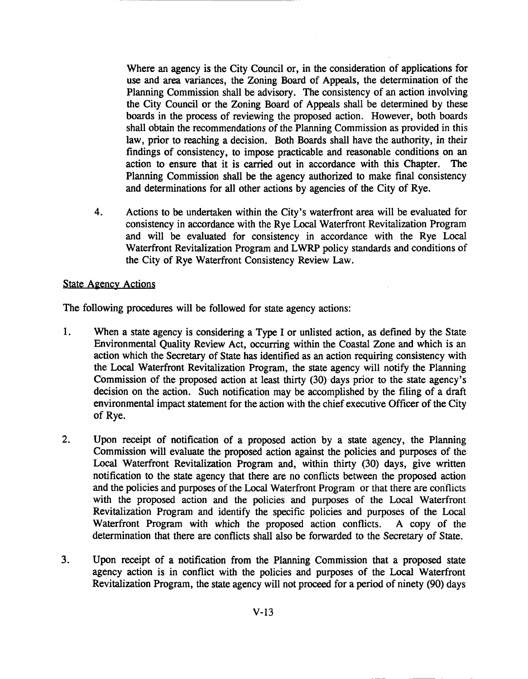Where an agency is the City Council or, in the consideration of applications for use and area variances, the ZOning Board of Appeals, the determination of the Planning Commission shall be advisory. The consistency of an action involving the City Council or the Zoning Board of Appeals shall be determined by these boards in the process of reviewing the proposed action. However, both boards shall obtain the recommendations of the Planning Commission as provided in this law, prior to reaching a decision. Both Boards shall have the authority, in their findings of consistency, to impose practicable and reasonable conditions on an action to ensure that it is carried out in accordance with this Chapter. The Planning Commission shall be the agency authorized to make final consistency and determinations for all other actions by agencies of the City of Rye.

4. Actions to be undertaken within the City's waterfront area will be evaluated for consistency in accordance with the Rye Local Waterfront Revitalization Program and will be evaluated for consistency in accordance with the Rye Local Waterfront Revitalization Program and LWRP policy standards and conditions of the City of Rye Waterfront Consistency Review Law.

### State Agency Actions

The following procedures will be followed for state agency actions:

- 1. When a state agency is considering a Type I or unlisted action, as defined by the State Environmental Quality Review Act, occurring within the Coastal Zone and which is an action which the Secretary of State has identified as an action requiring consistency with the Local Waterfront Revitalization Program, the state agency will notify the Planning Commission of the proposed action at least thirty (30) days prior to the state agency's decision on the action. Such notification may be accomplished by the filing of a draft environmental impact statement for the action with the chief executive Officer of the City of Rye.
- 2. Upon receipt of notification of a proposed action by a state agency, the Planning Commission will evaluate the proposed action against the policies and purposes of the Local Waterfront Revitalization Program and, within thirty (30) days, give written notification to the state agency that there are no conflicts between the proposed action and the policies and purposes of the Local Waterfront Program or that there are conflicts with the proposed action and the policies and purposes of the Local Waterfront Revitalization Program and identify the specific policies and purposes of the Local Waterfront Program with which the proposed action conflicts. A copy of the determination that there are conflicts shall also be forwarded to the Secretary of State.
- 3. Upon receipt of a notification from the Planning Commission that a proposed state agency action is in conflict with the policies and purposes of the Local Waterfront Revitalization Program, the state agency will not proceed for a period of ninety (90) days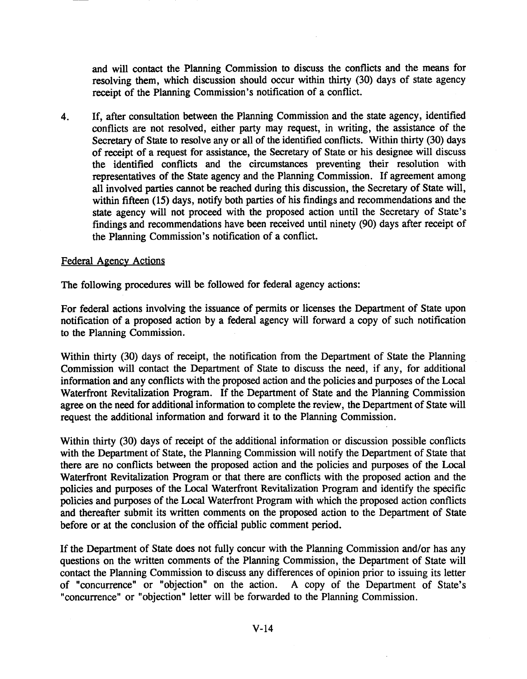and will contact the Planning Commission to discuss the conflicts and the means for resolving them, which discussion should occur within thirty (30) days of state agency receipt of the Planning Commission's notification of a conflict.

4. If, after consultation between the Planning Commission and the state agency, identified conflicts are not resolved, either party may request, in writing, the assistance of the Secretary of State to resolve any or all of the identified conflicts. Within thirty (30) days of receipt of a request for assistance, the Secretary of State or his designee will discuss the identified conflicts and the circumstances preventing their resolution with representatives of the State agency and the Planning Commission. If agreement among all involved parties cannot be reached during this discussion, the Secretary of State will, within fifteen (15) days, notify both parties of his findings and recommendations and the state agency will not proceed with the proposed action until the Secretary of State's findings and recommendations have been received until ninety (90) days after receipt of the Planning Commission's notification of a conflict.

#### Federal Agency Actions

The following procedures will be followed for federal agency actions:

For federal actions involving the issuance of permits or licenses the Department of State upon notification of a proposed action by a federal agency will forward a copy of such notification to the Planning Commission.

Within thirty (30) days of receipt, the notification from the Department of State the Planning Commission will contact the Department of State to discuss the need, if any, for additional information and any conflicts with the proposed action and the policies and purposes of the Local Waterfront Revitalization Program. If the Department of State and the Planning Commission agree on the need for additional information to complete the review, the Department of State will request the additional information and forward it to the Planning Commission.

Within thirty (30) days of receipt of the additional information or discussion possible conflicts with the Department of State, the Planning Commission will notify the Department of State that there are no conflicts between the proposed action and the policies and purposes of the Local Waterfront Revitalization Program or that there are conflicts with the proposed action and the policies and purposes of the Local Waterfront Revitalization Program and identify the specific policies and purposes of the Local Waterfront Program with which the proposed action conflicts and thereafter submit its written comments on the proposed action to the Department of State before or at the conclusion of the official public comment period.

If the Department of State does not fully concur with the Planning Commission and/or has any questions on the written comments of the Planning Commission, the Department of State will contact the Planning Commission to discuss any differences of opinion prior to issuing its letter of "concurrence" or "objection" on the action. A copy of the Department of State's "concurrence" or "objection" letter will be forwarded to the Planning Commission.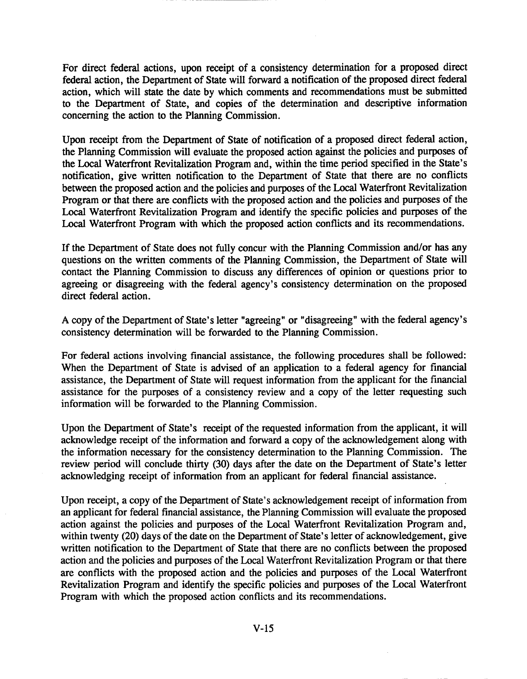For direct federal actions, upon receipt of a consistency determination for a proposed direct federal action, the Department of State will forward a notification of the proposed direct federal action, which will state the date by which comments and recommendations must be submitted to the Department of State, and copies of the determination and descriptive information concerning the action to the Planning Commission.

Upon receipt from the Department of State of notification of a proposed direct federal action, the Planning Commission will evaluate the proposed action against the policies and purposes of the Local Waterfront Revitalization Program and, within the time period specified in the State's notification, give written notification to the Department of State that there are no conflicts between the proposed action and the policies and purposes of the Local Waterfront Revitalization Program or that there are conflicts with the proposed action and the policies and purposes of the Local Waterfront Revitalization Program and identify the specific policies and purposes of the Local Waterfront Program with which the proposed action conflicts and its recommendations.

If the Department of State does not fully concur with the Planning Commission and/or has any questions on the written comments of the Planning Commission, the Department of State will contact the Planning Commission to discuss any differences of opinion or questions prior to agreeing or disagreeing with the federal agency's consistency determination on the proposed direct federal action.

A copy of the Department of State's letter "agreeing" or "disagreeing" with the federal agency's consistency determination will be forwarded to the Planning Commission.

For federal actions involving financial assistance, the following procedures shall be followed: When the Department of State is advised of an application to a federal agency for financial assistance, the Department of State will request information from the applicant for the financial assistance for the purposes of a consistency review and a copy of the letter requesting such information will be forwarded to the Planning Commission.

Upon the Department of State's receipt of the requested information from the applicant, it will acknowledge receipt of the information and forward a copy of the acknowledgement along with the information necessary for the consistency determination to the Planning Commission. The review period will conclude thirty (30) days after the date on the Department of State's letter acknowledging receipt of information from an applicant for federal financial assistance.

Upon receipt, a copy of the Department of State's acknowledgement receipt of information from an applicant for federal financial assistance, the Planning Commission will evaluate the proposed action against the policies and purposes of the Local Waterfront Revitalization Program and, within twenty (20) days of the date on the Department of State's letter of acknowledgement, give written notification to the Department of State that there are no conflicts between the proposed action and the policies and purposes of the Local Waterfront Revitalization Program or that there are conflicts with the proposed action and the policies and purposes of the Local Waterfront Revitalization Program and identify the specific policies and purposes of the Local Waterfront Program with which the proposed action conflicts and its recommendations.